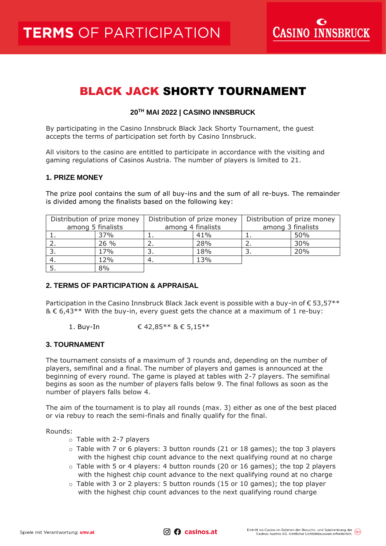**CASINO INNSBRUCK** 

# BLACK JACK SHORTY TOURNAMENT

# **20 TH MAI 2022 | CASINO INNSBRUCK**

By participating in the Casino Innsbruck Black Jack Shorty Tournament, the guest accepts the terms of participation set forth by Casino Innsbruck.

All visitors to the casino are entitled to participate in accordance with the visiting and gaming regulations of Casinos Austria. The number of players is limited to 21.

#### **1. PRIZE MONEY**

The prize pool contains the sum of all buy-ins and the sum of all re-buys. The remainder is divided among the finalists based on the following key:

| Distribution of prize money |      | Distribution of prize money |     | Distribution of prize money |     |
|-----------------------------|------|-----------------------------|-----|-----------------------------|-----|
| among 5 finalists           |      | among 4 finalists           |     | among 3 finalists           |     |
|                             | 37%  | ⊥.                          | 41% |                             | 50% |
|                             | 26 % |                             | 28% |                             | 30% |
|                             | 17%  |                             | 18% |                             | 20% |
|                             | 12%  |                             | 13% |                             |     |
|                             | 8%   |                             |     |                             |     |

# **2. TERMS OF PARTICIPATION & APPRAISAL**

Participation in the Casino Innsbruck Black Jack event is possible with a buy-in of  $\epsilon$  53,57\*\*  $\&\&6.43**$  With the buy-in, every quest gets the chance at a maximum of 1 re-buy:

1. Buy-In  $€ 42.85***$  &  $€ 5.15***$ 

# **3. TOURNAMENT**

The tournament consists of a maximum of 3 rounds and, depending on the number of players, semifinal and a final. The number of players and games is announced at the beginning of every round. The game is played at tables with 2-7 players. The semifinal begins as soon as the number of players falls below 9. The final follows as soon as the number of players falls below 4.

The aim of the tournament is to play all rounds (max. 3) either as one of the best placed or via rebuy to reach the semi-finals and finally qualify for the final.

Rounds:

o Table with 2-7 players

- o Table with 7 or 6 players: 3 button rounds (21 or 18 games); the top 3 players with the highest chip count advance to the next qualifying round at no charge
- $\circ$  Table with 5 or 4 players: 4 button rounds (20 or 16 games); the top 2 players with the highest chip count advance to the next qualifying round at no charge
- $\circ$  Table with 3 or 2 players: 5 button rounds (15 or 10 games); the top player with the highest chip count advances to the next qualifying round charge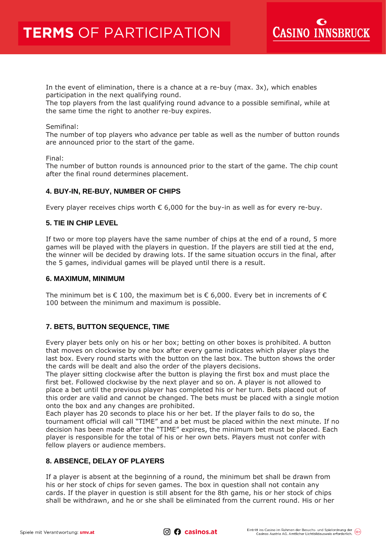

In the event of elimination, there is a chance at a re-buy (max. 3x), which enables participation in the next qualifying round.

The top players from the last qualifying round advance to a possible semifinal, while at the same time the right to another re-buy expires.

#### Semifinal:

The number of top players who advance per table as well as the number of button rounds are announced prior to the start of the game.

Final:

The number of button rounds is announced prior to the start of the game. The chip count after the final round determines placement.

# **4. BUY-IN, RE-BUY, NUMBER OF CHIPS**

Every player receives chips worth  $\epsilon$  6,000 for the buy-in as well as for every re-buy.

#### **5. TIE IN CHIP LEVEL**

If two or more top players have the same number of chips at the end of a round, 5 more games will be played with the players in question. If the players are still tied at the end, the winner will be decided by drawing lots. If the same situation occurs in the final, after the 5 games, individual games will be played until there is a result.

#### **6. MAXIMUM, MINIMUM**

The minimum bet is  $\epsilon$  100, the maximum bet is  $\epsilon$  6,000. Every bet in increments of  $\epsilon$ 100 between the minimum and maximum is possible.

#### **7. BETS, BUTTON SEQUENCE, TIME**

Every player bets only on his or her box; betting on other boxes is prohibited. A button that moves on clockwise by one box after every game indicates which player plays the last box. Every round starts with the button on the last box. The button shows the order the cards will be dealt and also the order of the players decisions.

The player sitting clockwise after the button is playing the first box and must place the first bet. Followed clockwise by the next player and so on. A player is not allowed to place a bet until the previous player has completed his or her turn. Bets placed out of this order are valid and cannot be changed. The bets must be placed with a single motion onto the box and any changes are prohibited.

Each player has 20 seconds to place his or her bet. If the player fails to do so, the tournament official will call "TIME" and a bet must be placed within the next minute. If no decision has been made after the "TIME" expires, the minimum bet must be placed. Each player is responsible for the total of his or her own bets. Players must not confer with fellow players or audience members.

#### **8. ABSENCE, DELAY OF PLAYERS**

If a player is absent at the beginning of a round, the minimum bet shall be drawn from his or her stock of chips for seven games. The box in question shall not contain any cards. If the player in question is still absent for the 8th game, his or her stock of chips shall be withdrawn, and he or she shall be eliminated from the current round. His or her